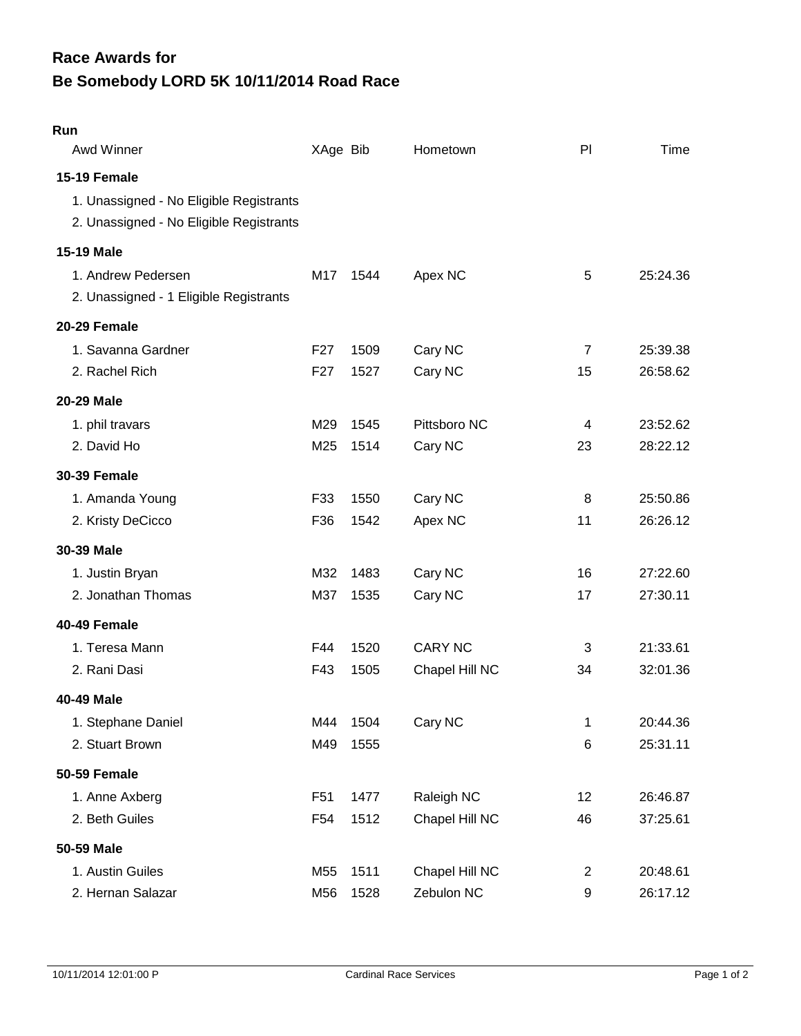# **Be Somebody LORD 5K 10/11/2014 Road Race Race Awards for**

## **Run**

| Awd Winner                                                                                         | XAge Bib        |      | Hometown       | PI             | Time     |
|----------------------------------------------------------------------------------------------------|-----------------|------|----------------|----------------|----------|
| 15-19 Female<br>1. Unassigned - No Eligible Registrants<br>2. Unassigned - No Eligible Registrants |                 |      |                |                |          |
| 15-19 Male                                                                                         |                 |      |                |                |          |
| 1. Andrew Pedersen<br>2. Unassigned - 1 Eligible Registrants                                       | M17             | 1544 | Apex NC        | 5              | 25:24.36 |
| 20-29 Female                                                                                       |                 |      |                |                |          |
| 1. Savanna Gardner                                                                                 | F <sub>27</sub> | 1509 | Cary NC        | $\overline{7}$ | 25:39.38 |
| 2. Rachel Rich                                                                                     | F <sub>27</sub> | 1527 | Cary NC        | 15             | 26:58.62 |
| 20-29 Male                                                                                         |                 |      |                |                |          |
| 1. phil travars                                                                                    | M29             | 1545 | Pittsboro NC   | 4              | 23:52.62 |
| 2. David Ho                                                                                        | M25             | 1514 | Cary NC        | 23             | 28:22.12 |
| <b>30-39 Female</b>                                                                                |                 |      |                |                |          |
| 1. Amanda Young                                                                                    | F33             | 1550 | Cary NC        | 8              | 25:50.86 |
| 2. Kristy DeCicco                                                                                  | F36             | 1542 | Apex NC        | 11             | 26:26.12 |
| 30-39 Male                                                                                         |                 |      |                |                |          |
| 1. Justin Bryan                                                                                    | M32             | 1483 | Cary NC        | 16             | 27:22.60 |
| 2. Jonathan Thomas                                                                                 | M37             | 1535 | Cary NC        | 17             | 27:30.11 |
| 40-49 Female                                                                                       |                 |      |                |                |          |
| 1. Teresa Mann                                                                                     | F44             | 1520 | <b>CARY NC</b> | 3              | 21:33.61 |
| 2. Rani Dasi                                                                                       | F43             | 1505 | Chapel Hill NC | 34             | 32:01.36 |
| 40-49 Male                                                                                         |                 |      |                |                |          |
| 1. Stephane Daniel                                                                                 | M44             | 1504 | Cary NC        | 1              | 20:44.36 |
| 2. Stuart Brown                                                                                    | M49             | 1555 |                | 6              | 25:31.11 |
| 50-59 Female                                                                                       |                 |      |                |                |          |
| 1. Anne Axberg                                                                                     | F <sub>51</sub> | 1477 | Raleigh NC     | 12             | 26:46.87 |
| 2. Beth Guiles                                                                                     | F <sub>54</sub> | 1512 | Chapel Hill NC | 46             | 37:25.61 |
| 50-59 Male                                                                                         |                 |      |                |                |          |
| 1. Austin Guiles                                                                                   | M55             | 1511 | Chapel Hill NC | 2              | 20:48.61 |
| 2. Hernan Salazar                                                                                  | M56             | 1528 | Zebulon NC     | 9              | 26:17.12 |